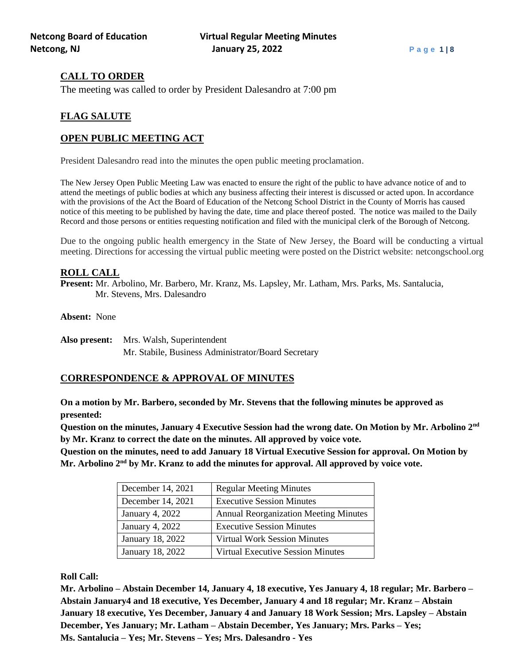# **CALL TO ORDER**

The meeting was called to order by President Dalesandro at 7:00 pm

# **FLAG SALUTE**

# **OPEN PUBLIC MEETING ACT**

President Dalesandro read into the minutes the open public meeting proclamation.

The New Jersey Open Public Meeting Law was enacted to ensure the right of the public to have advance notice of and to attend the meetings of public bodies at which any business affecting their interest is discussed or acted upon. In accordance with the provisions of the Act the Board of Education of the Netcong School District in the County of Morris has caused notice of this meeting to be published by having the date, time and place thereof posted. The notice was mailed to the Daily Record and those persons or entities requesting notification and filed with the municipal clerk of the Borough of Netcong.

Due to the ongoing public health emergency in the State of New Jersey, the Board will be conducting a virtual meeting. Directions for accessing the virtual public meeting were posted on the District website: netcongschool.org

# **ROLL CALL**

**Present:** Mr. Arbolino, Mr. Barbero, Mr. Kranz, Ms. Lapsley, Mr. Latham, Mrs. Parks, Ms. Santalucia, Mr. Stevens, Mrs. Dalesandro

**Absent:** None

**Also present:** Mrs. Walsh, Superintendent Mr. Stabile, Business Administrator/Board Secretary

# **CORRESPONDENCE & APPROVAL OF MINUTES**

**On a motion by Mr. Barbero, seconded by Mr. Stevens that the following minutes be approved as presented:**

**Question on the minutes, January 4 Executive Session had the wrong date. On Motion by Mr. Arbolino 2nd by Mr. Kranz to correct the date on the minutes. All approved by voice vote.**

**Question on the minutes, need to add January 18 Virtual Executive Session for approval. On Motion by Mr. Arbolino 2nd by Mr. Kranz to add the minutes for approval. All approved by voice vote.**

| December 14, 2021      | <b>Regular Meeting Minutes</b>               |
|------------------------|----------------------------------------------|
| December 14, 2021      | <b>Executive Session Minutes</b>             |
| <b>January 4, 2022</b> | <b>Annual Reorganization Meeting Minutes</b> |
| January 4, 2022        | <b>Executive Session Minutes</b>             |
| January 18, 2022       | <b>Virtual Work Session Minutes</b>          |
| January 18, 2022       | <b>Virtual Executive Session Minutes</b>     |

**Roll Call:**

**Mr. Arbolino – Abstain December 14, January 4, 18 executive, Yes January 4, 18 regular; Mr. Barbero – Abstain January4 and 18 executive, Yes December, January 4 and 18 regular; Mr. Kranz – Abstain January 18 executive, Yes December, January 4 and January 18 Work Session; Mrs. Lapsley – Abstain December, Yes January; Mr. Latham – Abstain December, Yes January; Mrs. Parks – Yes; Ms. Santalucia – Yes; Mr. Stevens – Yes; Mrs. Dalesandro - Yes**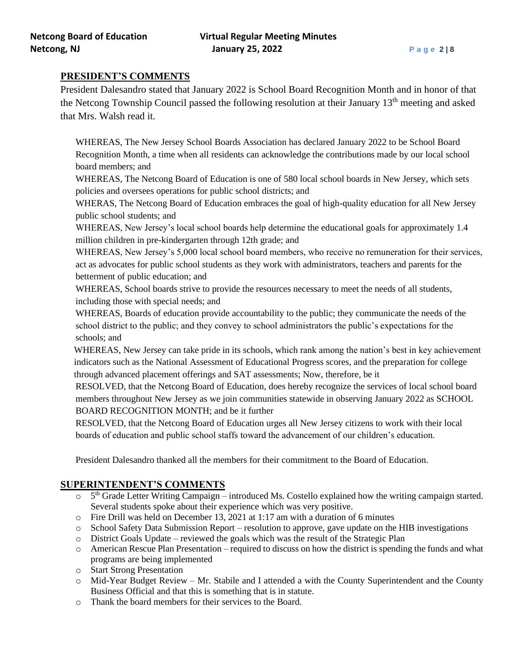# **PRESIDENT'S COMMENTS**

President Dalesandro stated that January 2022 is School Board Recognition Month and in honor of that the Netcong Township Council passed the following resolution at their January 13<sup>th</sup> meeting and asked that Mrs. Walsh read it.

WHEREAS, The New Jersey School Boards Association has declared January 2022 to be School Board Recognition Month, a time when all residents can acknowledge the contributions made by our local school board members; and

WHEREAS, The Netcong Board of Education is one of 580 local school boards in New Jersey, which sets policies and oversees operations for public school districts; and

WHERAS, The Netcong Board of Education embraces the goal of high-quality education for all New Jersey public school students; and

WHEREAS, New Jersey's local school boards help determine the educational goals for approximately 1.4 million children in pre-kindergarten through 12th grade; and

WHEREAS, New Jersey's 5,000 local school board members, who receive no remuneration for their services, act as advocates for public school students as they work with administrators, teachers and parents for the betterment of public education; and

WHEREAS, School boards strive to provide the resources necessary to meet the needs of all students, including those with special needs; and

WHEREAS, Boards of education provide accountability to the public; they communicate the needs of the school district to the public; and they convey to school administrators the public's expectations for the schools; and

WHEREAS, New Jersey can take pride in its schools, which rank among the nation's best in key achievement indicators such as the National Assessment of Educational Progress scores, and the preparation for college through advanced placement offerings and SAT assessments; Now, therefore, be it

RESOLVED, that the Netcong Board of Education, does hereby recognize the services of local school board members throughout New Jersey as we join communities statewide in observing January 2022 as SCHOOL BOARD RECOGNITION MONTH; and be it further

RESOLVED, that the Netcong Board of Education urges all New Jersey citizens to work with their local boards of education and public school staffs toward the advancement of our children's education.

President Dalesandro thanked all the members for their commitment to the Board of Education.

# **SUPERINTENDENT'S COMMENTS**

- o 5<sup>th</sup> Grade Letter Writing Campaign introduced Ms. Costello explained how the writing campaign started. Several students spoke about their experience which was very positive.
- o Fire Drill was held on December 13, 2021 at 1:17 am with a duration of 6 minutes
- o School Safety Data Submission Report resolution to approve, gave update on the HIB investigations
- $\circ$  District Goals Update reviewed the goals which was the result of the Strategic Plan
- o American Rescue Plan Presentation required to discuss on how the district is spending the funds and what programs are being implemented
- o Start Strong Presentation
- $\circ$  Mid-Year Budget Review Mr. Stabile and I attended a with the County Superintendent and the County Business Official and that this is something that is in statute.
- o Thank the board members for their services to the Board.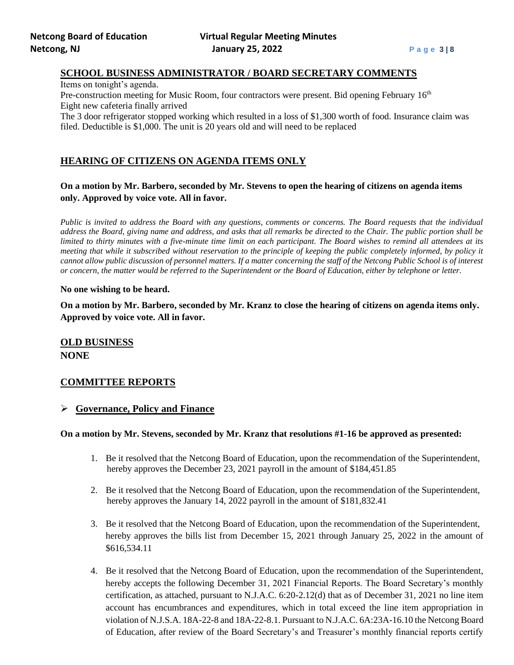## **SCHOOL BUSINESS ADMINISTRATOR / BOARD SECRETARY COMMENTS**

Items on tonight's agenda.

Pre-construction meeting for Music Room, four contractors were present. Bid opening February 16<sup>th</sup> Eight new cafeteria finally arrived

The 3 door refrigerator stopped working which resulted in a loss of \$1,300 worth of food. Insurance claim was filed. Deductible is \$1,000. The unit is 20 years old and will need to be replaced

## **HEARING OF CITIZENS ON AGENDA ITEMS ONLY**

**On a motion by Mr. Barbero, seconded by Mr. Stevens to open the hearing of citizens on agenda items only. Approved by voice vote. All in favor.**

*Public is invited to address the Board with any questions, comments or concerns. The Board requests that the individual address the Board, giving name and address, and asks that all remarks be directed to the Chair. The public portion shall be limited to thirty minutes with a five-minute time limit on each participant. The Board wishes to remind all attendees at its meeting that while it subscribed without reservation to the principle of keeping the public completely informed, by policy it cannot allow public discussion of personnel matters. If a matter concerning the staff of the Netcong Public School is of interest or concern, the matter would be referred to the Superintendent or the Board of Education, either by telephone or letter.*

#### **No one wishing to be heard.**

**On a motion by Mr. Barbero, seconded by Mr. Kranz to close the hearing of citizens on agenda items only. Approved by voice vote. All in favor.**

**OLD BUSINESS NONE**

## **COMMITTEE REPORTS**

#### ➢ **Governance, Policy and Finance**

### **On a motion by Mr. Stevens, seconded by Mr. Kranz that resolutions #1-16 be approved as presented:**

- 1. Be it resolved that the Netcong Board of Education, upon the recommendation of the Superintendent, hereby approves the December 23, 2021 payroll in the amount of \$184,451.85
- 2. Be it resolved that the Netcong Board of Education, upon the recommendation of the Superintendent, hereby approves the January 14, 2022 payroll in the amount of \$181,832.41
- 3. Be it resolved that the Netcong Board of Education, upon the recommendation of the Superintendent, hereby approves the bills list from December 15, 2021 through January 25, 2022 in the amount of \$616,534.11
- 4. Be it resolved that the Netcong Board of Education, upon the recommendation of the Superintendent, hereby accepts the following December 31, 2021 Financial Reports. The Board Secretary's monthly certification, as attached, pursuant to N.J.A.C. 6:20-2.12(d) that as of December 31, 2021 no line item account has encumbrances and expenditures, which in total exceed the line item appropriation in violation of N.J.S.A. 18A-22-8 and 18A-22-8.1. Pursuant to N.J.A.C. 6A:23A-16.10 the Netcong Board of Education, after review of the Board Secretary's and Treasurer's monthly financial reports certify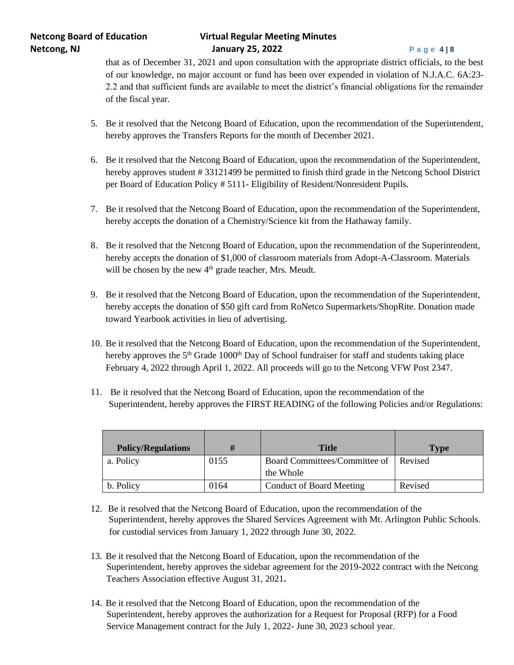# **Netcong Board of Education Virtual Regular Meeting Minutes Netcong, NJ January 25, 2022 P a g e 4 | 8**

that as of December 31, 2021 and upon consultation with the appropriate district officials, to the best of our knowledge, no major account or fund has been over expended in violation of N.J.A.C. 6A:23- 2.2 and that sufficient funds are available to meet the district's financial obligations for the remainder of the fiscal year.

- 5. Be it resolved that the Netcong Board of Education, upon the recommendation of the Superintendent, hereby approves the Transfers Reports for the month of December 2021.
- 6. Be it resolved that the Netcong Board of Education, upon the recommendation of the Superintendent, hereby approves student # 33121499 be permitted to finish third grade in the Netcong School District per Board of Education Policy # 5111- Eligibility of Resident/Nonresident Pupils.
- 7. Be it resolved that the Netcong Board of Education, upon the recommendation of the Superintendent, hereby accepts the donation of a Chemistry/Science kit from the Hathaway family.
- 8. Be it resolved that the Netcong Board of Education, upon the recommendation of the Superintendent, hereby accepts the donation of \$1,000 of classroom materials from Adopt-A-Classroom. Materials will be chosen by the new  $4<sup>th</sup>$  grade teacher, Mrs. Meudt.
- 9. Be it resolved that the Netcong Board of Education, upon the recommendation of the Superintendent, hereby accepts the donation of \$50 gift card from RoNetco Supermarkets/ShopRite. Donation made toward Yearbook activities in lieu of advertising.
- 10. Be it resolved that the Netcong Board of Education, upon the recommendation of the Superintendent, hereby approves the 5<sup>th</sup> Grade 1000<sup>th</sup> Day of School fundraiser for staff and students taking place February 4, 2022 through April 1, 2022. All proceeds will go to the Netcong VFW Post 2347.
- 11. Be it resolved that the Netcong Board of Education, upon the recommendation of the Superintendent, hereby approves the FIRST READING of the following Policies and/or Regulations:

| <b>Policy/Regulations</b> |      | <b>Title</b>                                       | <b>Type</b> |
|---------------------------|------|----------------------------------------------------|-------------|
| a. Policy                 | 0155 | Board Committees/Committee of Revised<br>the Whole |             |
| b. Policy                 | 0164 | <b>Conduct of Board Meeting</b>                    | Revised     |

- 12. Be it resolved that the Netcong Board of Education, upon the recommendation of the Superintendent, hereby approves the Shared Services Agreement with Mt. Arlington Public Schools. for custodial services from January 1, 2022 through June 30, 2022.
- 13. Be it resolved that the Netcong Board of Education, upon the recommendation of the Superintendent, hereby approves the sidebar agreement for the 2019-2022 contract with the Netcong Teachers Association effective August 31, 2021**.**
- 14. Be it resolved that the Netcong Board of Education, upon the recommendation of the Superintendent, hereby approves the authorization for a Request for Proposal (RFP) for a Food Service Management contract for the July 1, 2022- June 30, 2023 school year.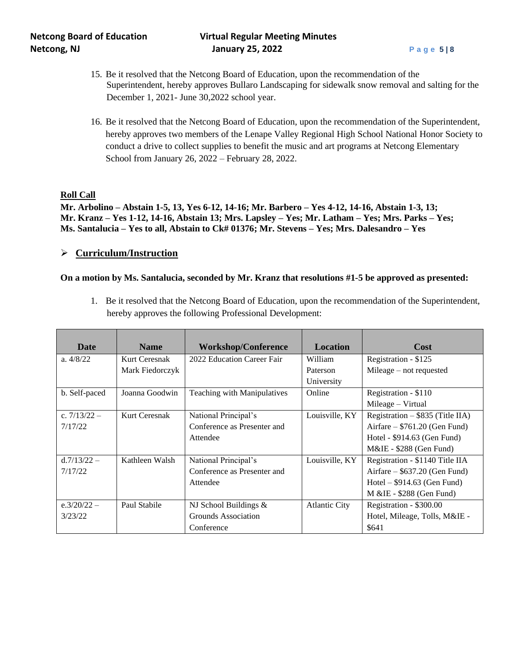# **Netcong Board of Education Virtual Regular Meeting Minutes Netcong, NJ January 25, 2022 P a g e 5 | 8**

- 15. Be it resolved that the Netcong Board of Education, upon the recommendation of the Superintendent, hereby approves Bullaro Landscaping for sidewalk snow removal and salting for the December 1, 2021- June 30,2022 school year.
- 16. Be it resolved that the Netcong Board of Education, upon the recommendation of the Superintendent, hereby approves two members of the Lenape Valley Regional High School National Honor Society to conduct a drive to collect supplies to benefit the music and art programs at Netcong Elementary School from January 26, 2022 – February 28, 2022.

### **Roll Call**

**Mr. Arbolino – Abstain 1-5, 13, Yes 6-12, 14-16; Mr. Barbero – Yes 4-12, 14-16, Abstain 1-3, 13; Mr. Kranz – Yes 1-12, 14-16, Abstain 13; Mrs. Lapsley – Yes; Mr. Latham – Yes; Mrs. Parks – Yes; Ms. Santalucia – Yes to all, Abstain to Ck# 01376; Mr. Stevens – Yes; Mrs. Dalesandro – Yes**

## ➢ **Curriculum/Instruction**

### **On a motion by Ms. Santalucia, seconded by Mr. Kranz that resolutions #1-5 be approved as presented:**

1. Be it resolved that the Netcong Board of Education, upon the recommendation of the Superintendent, hereby approves the following Professional Development:

| <b>Date</b>    | <b>Name</b>     | <b>Workshop/Conference</b>  | <b>Location</b>      | Cost                               |
|----------------|-----------------|-----------------------------|----------------------|------------------------------------|
| a. $4/8/22$    | Kurt Ceresnak   | 2022 Education Career Fair  | William              | Registration - \$125               |
|                | Mark Fiedorczyk |                             | Paterson             | Mileage $-$ not requested          |
|                |                 |                             | University           |                                    |
| b. Self-paced  | Joanna Goodwin  | Teaching with Manipulatives | Online               | Registration - \$110               |
|                |                 |                             |                      | Mileage – Virtual                  |
| c. $7/13/22 -$ | Kurt Ceresnak   | National Principal's        | Louisville, KY       | Registration $-$ \$835 (Title IIA) |
| 7/17/22        |                 | Conference as Presenter and |                      | $Airfare - $761.20$ (Gen Fund)     |
|                |                 | Attendee                    |                      | Hotel - \$914.63 (Gen Fund)        |
|                |                 |                             |                      | $M\&I\&I $ = \$288 (Gen Fund)      |
| $d.7/13/22 -$  | Kathleen Walsh  | National Principal's        | Louisville, KY       | Registration - \$1140 Title IIA    |
| 7/17/22        |                 | Conference as Presenter and |                      | Airfare $-$ \$637.20 (Gen Fund)    |
|                |                 | Attendee                    |                      | $Hotel - $914.63$ (Gen Fund)       |
|                |                 |                             |                      | M & IE - \$288 (Gen Fund)          |
| $e.3/20/22 -$  | Paul Stabile    | NJ School Buildings $&$     | <b>Atlantic City</b> | Registration - \$300.00            |
| 3/23/22        |                 | Grounds Association         |                      | Hotel, Mileage, Tolls, M&IE -      |
|                |                 | Conference                  |                      | \$641                              |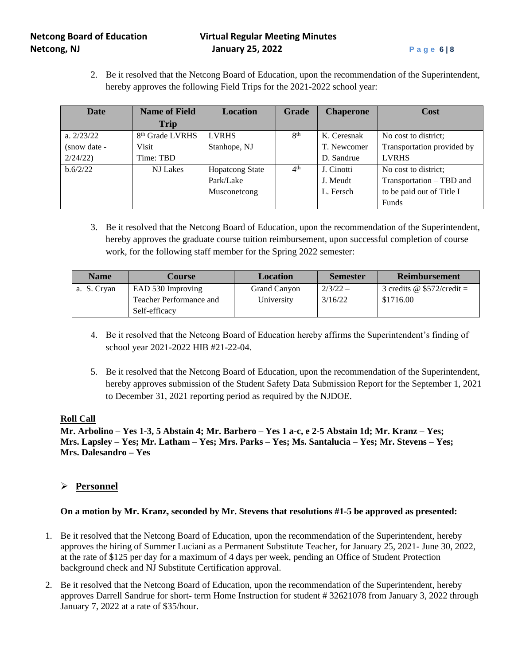# **Netcong Board of Education Virtual Regular Meeting Minutes Netcong, NJ January 25, 2022 P a g e 6 | 8**

2. Be it resolved that the Netcong Board of Education, upon the recommendation of the Superintendent, hereby approves the following Field Trips for the 2021-2022 school year:

| <b>Date</b>  | <b>Name of Field</b>        | <b>Location</b>        | Grade           | <b>Chaperone</b> | <b>Cost</b>                |
|--------------|-----------------------------|------------------------|-----------------|------------------|----------------------------|
|              | <b>Trip</b>                 |                        |                 |                  |                            |
| a. $2/23/22$ | 8 <sup>th</sup> Grade LVRHS | <b>LVRHS</b>           | 8 <sup>th</sup> | K. Ceresnak      | No cost to district;       |
| (snow date - | <b>Visit</b>                | Stanhope, NJ           |                 | T. Newcomer      | Transportation provided by |
| 2/24/22      | Time: TBD                   |                        |                 | D. Sandrue       | <b>LVRHS</b>               |
| b.6/2/22     | NJ Lakes                    | <b>Hopatcong State</b> | 4 <sup>th</sup> | J. Cinotti       | No cost to district;       |
|              |                             | Park/Lake              |                 | J. Meudt         | Transportation – TBD and   |
|              |                             | Musconetcong           |                 | L. Fersch        | to be paid out of Title I  |
|              |                             |                        |                 |                  | Funds                      |

3. Be it resolved that the Netcong Board of Education, upon the recommendation of the Superintendent, hereby approves the graduate course tuition reimbursement, upon successful completion of course work, for the following staff member for the Spring 2022 semester:

| <b>Name</b> | Course                  | <b>Location</b> | <b>Semester</b> | <b>Reimbursement</b>              |
|-------------|-------------------------|-----------------|-----------------|-----------------------------------|
| a. S. Cryan | EAD 530 Improving       | Grand Canyon    | $2/3/22 -$      | 3 credits $\omega$ \$572/credit = |
|             | Teacher Performance and | University      | 3/16/22         | \$1716.00                         |
|             | Self-efficacy           |                 |                 |                                   |

- 4. Be it resolved that the Netcong Board of Education hereby affirms the Superintendent's finding of school year 2021-2022 HIB #21-22-04.
- 5. Be it resolved that the Netcong Board of Education, upon the recommendation of the Superintendent, hereby approves submission of the Student Safety Data Submission Report for the September 1, 2021 to December 31, 2021 reporting period as required by the NJDOE.

## **Roll Call**

**Mr. Arbolino – Yes 1-3, 5 Abstain 4; Mr. Barbero – Yes 1 a-c, e 2-5 Abstain 1d; Mr. Kranz – Yes; Mrs. Lapsley – Yes; Mr. Latham – Yes; Mrs. Parks – Yes; Ms. Santalucia – Yes; Mr. Stevens – Yes; Mrs. Dalesandro – Yes**

# ➢ **Personnel**

# **On a motion by Mr. Kranz, seconded by Mr. Stevens that resolutions #1-5 be approved as presented:**

- 1. Be it resolved that the Netcong Board of Education, upon the recommendation of the Superintendent, hereby approves the hiring of Summer Luciani as a Permanent Substitute Teacher, for January 25, 2021- June 30, 2022, at the rate of \$125 per day for a maximum of 4 days per week, pending an Office of Student Protection background check and NJ Substitute Certification approval.
- 2. Be it resolved that the Netcong Board of Education, upon the recommendation of the Superintendent, hereby approves Darrell Sandrue for short- term Home Instruction for student # 32621078 from January 3, 2022 through January 7, 2022 at a rate of \$35/hour.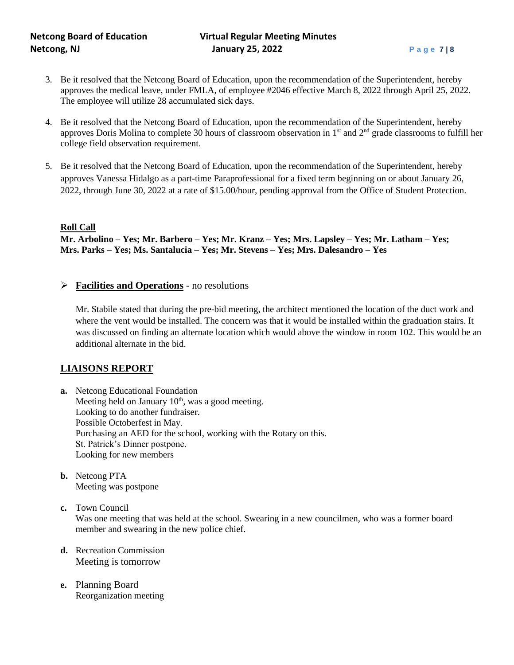- 3. Be it resolved that the Netcong Board of Education, upon the recommendation of the Superintendent, hereby approves the medical leave, under FMLA, of employee #2046 effective March 8, 2022 through April 25, 2022. The employee will utilize 28 accumulated sick days.
- 4. Be it resolved that the Netcong Board of Education, upon the recommendation of the Superintendent, hereby approves Doris Molina to complete 30 hours of classroom observation in 1<sup>st</sup> and 2<sup>nd</sup> grade classrooms to fulfill her college field observation requirement.
- 5. Be it resolved that the Netcong Board of Education, upon the recommendation of the Superintendent, hereby approves Vanessa Hidalgo as a part-time Paraprofessional for a fixed term beginning on or about January 26, 2022, through June 30, 2022 at a rate of \$15.00/hour, pending approval from the Office of Student Protection.

## **Roll Call**

**Mr. Arbolino – Yes; Mr. Barbero – Yes; Mr. Kranz – Yes; Mrs. Lapsley – Yes; Mr. Latham – Yes; Mrs. Parks – Yes; Ms. Santalucia – Yes; Mr. Stevens – Yes; Mrs. Dalesandro – Yes**

➢ **Facilities and Operations** - no resolutions

Mr. Stabile stated that during the pre-bid meeting, the architect mentioned the location of the duct work and where the vent would be installed. The concern was that it would be installed within the graduation stairs. It was discussed on finding an alternate location which would above the window in room 102. This would be an additional alternate in the bid.

# **LIAISONS REPORT**

- **a.** Netcong Educational Foundation Meeting held on January  $10<sup>th</sup>$ , was a good meeting. Looking to do another fundraiser. Possible Octoberfest in May. Purchasing an AED for the school, working with the Rotary on this. St. Patrick's Dinner postpone. Looking for new members
- **b.** Netcong PTA Meeting was postpone
- **c.** Town Council

Was one meeting that was held at the school. Swearing in a new councilmen, who was a former board member and swearing in the new police chief.

- **d.** Recreation Commission Meeting is tomorrow
- **e.** Planning Board Reorganization meeting